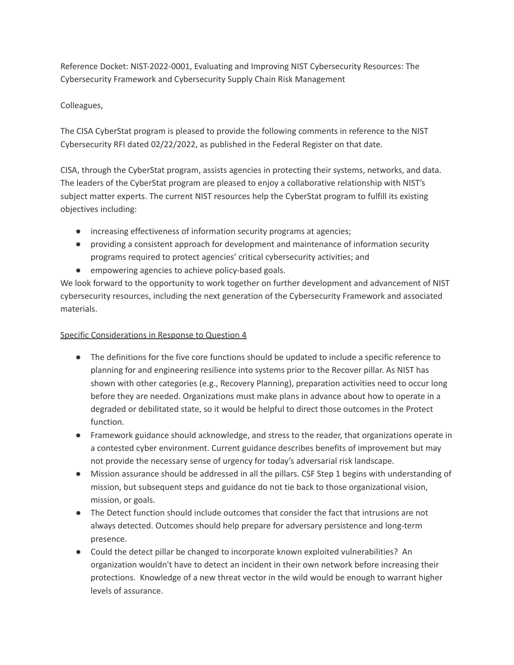Reference Docket: NIST-2022-0001, Evaluating and Improving NIST Cybersecurity Resources: The Cybersecurity Framework and Cybersecurity Supply Chain Risk Management

## Colleagues,

 The CISA CyberStat program is pleased to provide the following comments in reference to the NIST Cybersecurity RFI dated 02/22/2022, as published in the Federal Register on that date.

 CISA, through the CyberStat program, assists agencies in protecting their systems, networks, and data. The leaders of the CyberStat program are pleased to enjoy a collaborative relationship with NIST's subject matter experts. The current NIST resources help the CyberStat program to fulfill its existing objectives including:

- increasing effectiveness of information security programs at agencies;
- ● providing a consistent approach for development and maintenance of information security programs required to protect agencies' critical cybersecurity activities; and
- empowering agencies to achieve policy-based goals.

 We look forward to the opportunity to work together on further development and advancement of NIST cybersecurity resources, including the next generation of the Cybersecurity Framework and associated materials.

## Specific Considerations in Response to Question 4

- ● The definitions for the five core functions should be updated to include a specific reference to planning for and engineering resilience into systems prior to the Recover pillar. As NIST has shown with other categories (e.g., Recovery Planning), preparation activities need to occur long before they are needed. Organizations must make plans in advance about how to operate in a degraded or debilitated state, so it would be helpful to direct those outcomes in the Protect function.
- ● Framework guidance should acknowledge, and stress to the reader, that organizations operate in a contested cyber environment. Current guidance describes benefits of improvement but may not provide the necessary sense of urgency for today's adversarial risk landscape.
- ● Mission assurance should be addressed in all the pillars. CSF Step 1 begins with understanding of mission, but subsequent steps and guidance do not tie back to those organizational vision, mission, or goals.
- ● The Detect function should include outcomes that consider the fact that intrusions are not always detected. Outcomes should help prepare for adversary persistence and long-term presence.
- ● Could the detect pillar be changed to incorporate known exploited vulnerabilities? An organization wouldn't have to detect an incident in their own network before increasing their protections. Knowledge of a new threat vector in the wild would be enough to warrant higher levels of assurance.